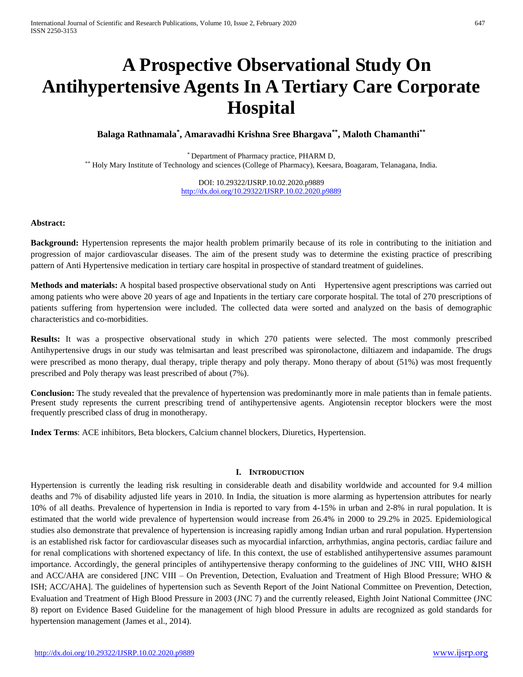# **A Prospective Observational Study On Antihypertensive Agents In A Tertiary Care Corporate Hospital**

**Balaga Rathnamala\* , Amaravadhi Krishna Sree Bhargava\*\* , Maloth Chamanthi\*\***

\* Department of Pharmacy practice, PHARM D, \*\* Holy Mary Institute of Technology and sciences (College of Pharmacy), Keesara, Boagaram, Telanagana, India.

> DOI: 10.29322/IJSRP.10.02.2020.p9889 <http://dx.doi.org/10.29322/IJSRP.10.02.2020.p9889>

# **Abstract:**

**Background:** Hypertension represents the major health problem primarily because of its role in contributing to the initiation and progression of major cardiovascular diseases. The aim of the present study was to determine the existing practice of prescribing pattern of Anti Hypertensive medication in tertiary care hospital in prospective of standard treatment of guidelines.

**Methods and materials:** A hospital based prospective observational study on Anti Hypertensive agent prescriptions was carried out among patients who were above 20 years of age and Inpatients in the tertiary care corporate hospital. The total of 270 prescriptions of patients suffering from hypertension were included. The collected data were sorted and analyzed on the basis of demographic characteristics and co-morbidities.

**Results:** It was a prospective observational study in which 270 patients were selected. The most commonly prescribed Antihypertensive drugs in our study was telmisartan and least prescribed was spironolactone, diltiazem and indapamide. The drugs were prescribed as mono therapy, dual therapy, triple therapy and poly therapy. Mono therapy of about (51%) was most frequently prescribed and Poly therapy was least prescribed of about (7%).

**Conclusion:** The study revealed that the prevalence of hypertension was predominantly more in male patients than in female patients. Present study represents the current prescribing trend of antihypertensive agents. Angiotensin receptor blockers were the most frequently prescribed class of drug in monotherapy.

**Index Terms**: ACE inhibitors, Beta blockers, Calcium channel blockers, Diuretics, Hypertension.

# **I. INTRODUCTION**

Hypertension is currently the leading risk resulting in considerable death and disability worldwide and accounted for 9.4 million deaths and 7% of disability adjusted life years in 2010. In India, the situation is more alarming as hypertension attributes for nearly 10% of all deaths. Prevalence of hypertension in India is reported to vary from 4-15% in urban and 2-8% in rural population. It is estimated that the world wide prevalence of hypertension would increase from 26.4% in 2000 to 29.2% in 2025. Epidemiological studies also demonstrate that prevalence of hypertension is increasing rapidly among Indian urban and rural population. Hypertension is an established risk factor for cardiovascular diseases such as myocardial infarction, arrhythmias, angina pectoris, cardiac failure and for renal complications with shortened expectancy of life. In this context, the use of established antihypertensive assumes paramount importance. Accordingly, the general principles of antihypertensive therapy conforming to the guidelines of JNC VIII, WHO &ISH and ACC/AHA are considered [JNC VIII – On Prevention, Detection, Evaluation and Treatment of High Blood Pressure; WHO & ISH; ACC/AHA]. The guidelines of hypertension such as Seventh Report of the Joint National Committee on Prevention, Detection, Evaluation and Treatment of High Blood Pressure in 2003 (JNC 7) and the currently released, Eighth Joint National Committee (JNC 8) report on Evidence Based Guideline for the management of high blood Pressure in adults are recognized as gold standards for hypertension management (James et al., 2014).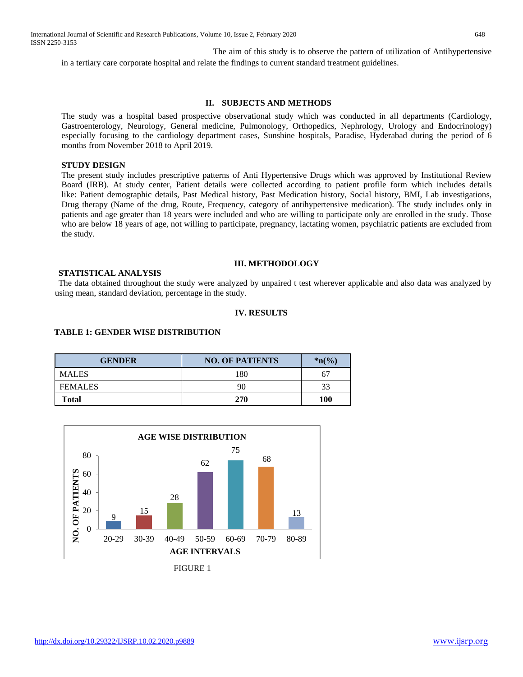International Journal of Scientific and Research Publications, Volume 10, Issue 2, February 2020 648 ISSN 2250-3153

 The aim of this study is to observe the pattern of utilization of Antihypertensive in a tertiary care corporate hospital and relate the findings to current standard treatment guidelines.

# **II. SUBJECTS AND METHODS**

The study was a hospital based prospective observational study which was conducted in all departments (Cardiology, Gastroenterology, Neurology, General medicine, Pulmonology, Orthopedics, Nephrology, Urology and Endocrinology) especially focusing to the cardiology department cases, Sunshine hospitals, Paradise, Hyderabad during the period of 6 months from November 2018 to April 2019.

#### **STUDY DESIGN**

The present study includes prescriptive patterns of Anti Hypertensive Drugs which was approved by Institutional Review Board (IRB). At study center, Patient details were collected according to patient profile form which includes details like: Patient demographic details, Past Medical history, Past Medication history, Social history, BMI, Lab investigations, Drug therapy (Name of the drug, Route, Frequency, category of antihypertensive medication). The study includes only in patients and age greater than 18 years were included and who are willing to participate only are enrolled in the study. Those who are below 18 years of age, not willing to participate, pregnancy, lactating women, psychiatric patients are excluded from the study.

#### **III. METHODOLOGY**

# **STATISTICAL ANALYSIS**

 The data obtained throughout the study were analyzed by unpaired t test wherever applicable and also data was analyzed by using mean, standard deviation, percentage in the study.

#### **IV. RESULTS**

#### **TABLE 1: GENDER WISE DISTRIBUTION**

| <b>GENDER</b>  | <b>NO. OF PATIENTS</b> | $*_{n\frac{6}{6}}$ |
|----------------|------------------------|--------------------|
| <b>MALES</b>   | 180                    | 67                 |
| <b>FEMALES</b> | 90                     | 33                 |
| Total          | 270                    | <b>100</b>         |



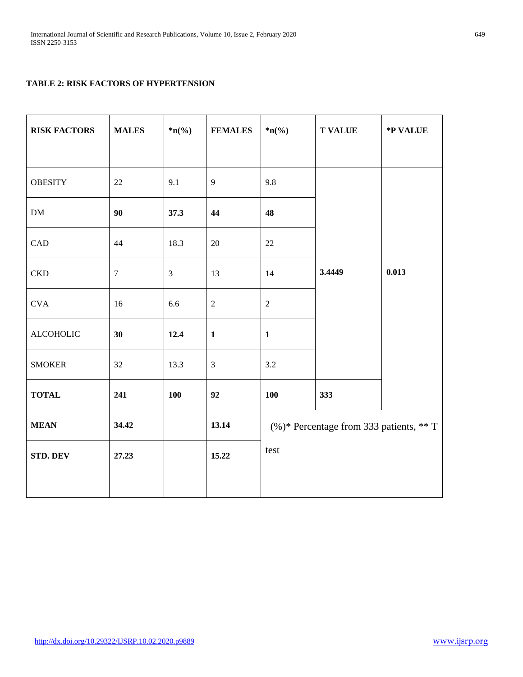# **TABLE 2: RISK FACTORS OF HYPERTENSION**

| <b>RISK FACTORS</b> | <b>MALES</b> | $*_{n(\%)}$    | <b>FEMALES</b> | $*_{n(\%)}$                                 | <b>T VALUE</b> | *P VALUE |
|---------------------|--------------|----------------|----------------|---------------------------------------------|----------------|----------|
|                     |              |                |                |                                             |                |          |
| <b>OBESITY</b>      | 22           | 9.1            | 9              | 9.8                                         | 3.4449         | 0.013    |
| ${\rm DM}$          | 90           | 37.3           | 44             | 48                                          |                |          |
| CAD                 | 44           | 18.3           | 20             | 22                                          |                |          |
| <b>CKD</b>          | $\tau$       | $\mathfrak{Z}$ | 13             | 14                                          |                |          |
| <b>CVA</b>          | 16           | 6.6            | $\sqrt{2}$     | $\sqrt{2}$                                  |                |          |
| <b>ALCOHOLIC</b>    | 30           | 12.4           | $\mathbf{1}$   | $\mathbf{1}$                                |                |          |
| <b>SMOKER</b>       | 32           | 13.3           | $\mathfrak{Z}$ | 3.2                                         |                |          |
| <b>TOTAL</b>        | 241          | 100            | 92             | <b>100</b>                                  | 333            |          |
| <b>MEAN</b>         | 34.42        |                | 13.14          | $(\%)^*$ Percentage from 333 patients, ** T |                |          |
| STD. DEV            | 27.23        |                | 15.22          | test                                        |                |          |
|                     |              |                |                |                                             |                |          |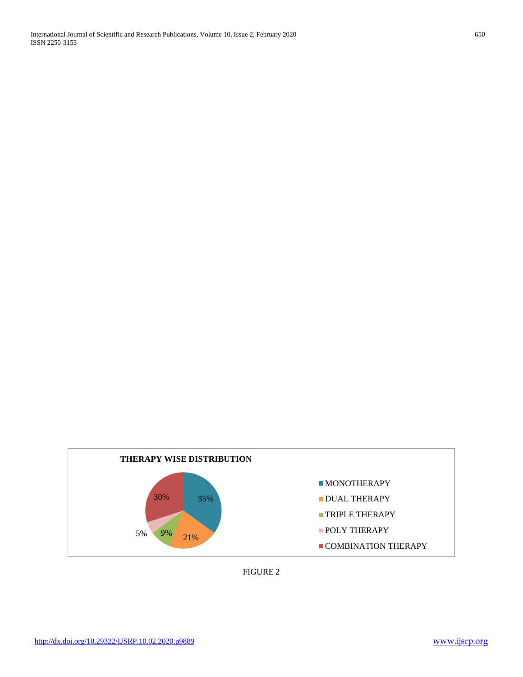

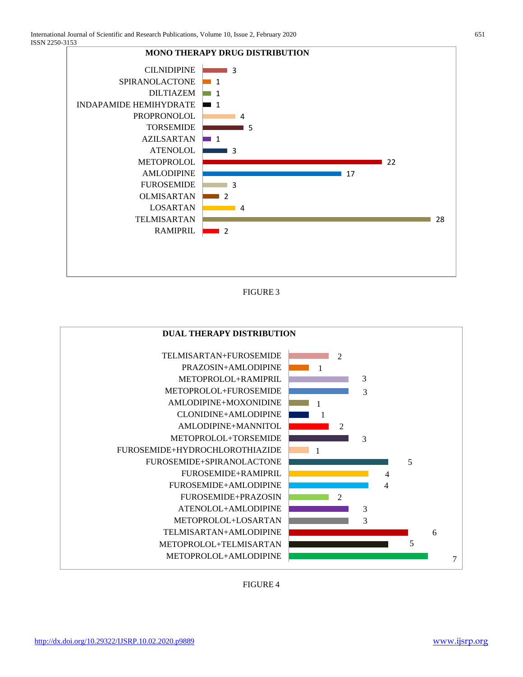

FIGURE 3



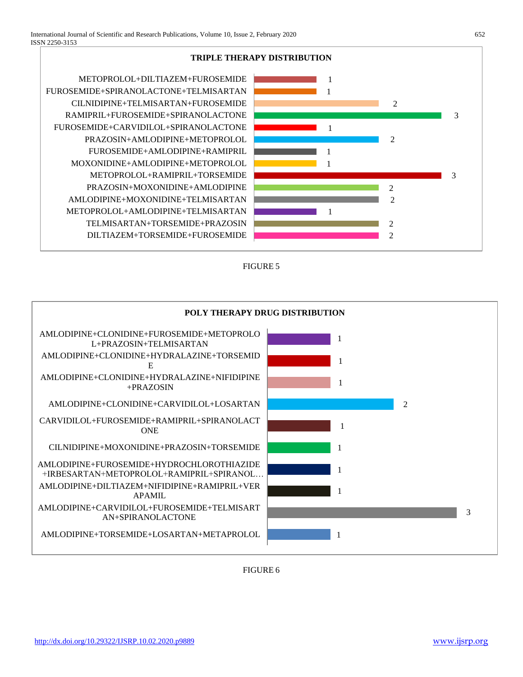

FIGURE 5



FIGURE 6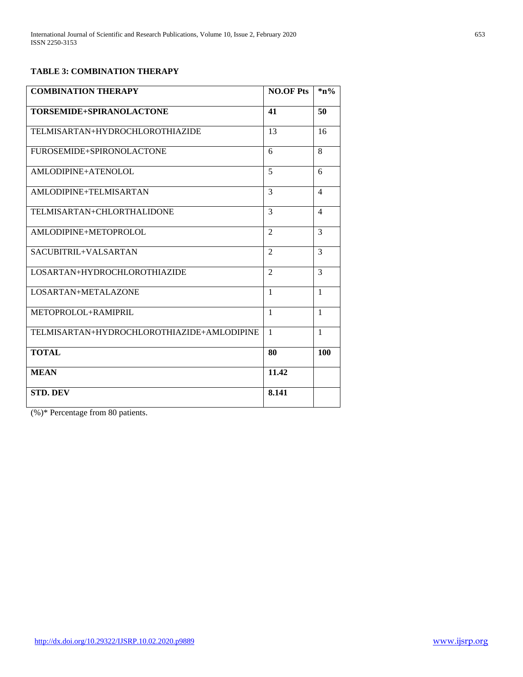# **TABLE 3: COMBINATION THERAPY**

| <b>COMBINATION THERAPY</b>                 | <b>NO.OF Pts</b> | $\mathbf{a} \mathbf{b}$ |
|--------------------------------------------|------------------|-------------------------|
| TORSEMIDE+SPIRANOLACTONE                   | 41               | 50                      |
| TELMISARTAN+HYDROCHLOROTHIAZIDE            | 13               | 16                      |
| FUROSEMIDE+SPIRONOLACTONE                  | 6                | 8                       |
| AMLODIPINE+ATENOLOL                        | $\overline{5}$   | 6                       |
| AMLODIPINE+TELMISARTAN                     | 3                | $\overline{4}$          |
| TELMISARTAN+CHLORTHALIDONE                 | 3                | $\overline{4}$          |
| AMLODIPINE+METOPROLOL                      | $\overline{2}$   | 3                       |
| SACUBITRIL+VALSARTAN                       | $\mathfrak{D}$   | 3                       |
| LOSARTAN+HYDROCHLOROTHIAZIDE               | $\mathfrak{D}$   | 3                       |
| LOSARTAN+METALAZONE                        | $\mathbf{1}$     | $\mathbf{1}$            |
| METOPROLOL+RAMIPRIL                        | $\mathbf{1}$     | $\mathbf{1}$            |
| TELMISARTAN+HYDROCHLOROTHIAZIDE+AMLODIPINE | $\overline{1}$   | $\mathbf{1}$            |
| <b>TOTAL</b>                               | 80               | 100                     |
| <b>MEAN</b>                                | 11.42            |                         |
| <b>STD. DEV</b>                            | 8.141            |                         |

(%)\* Percentage from 80 patients.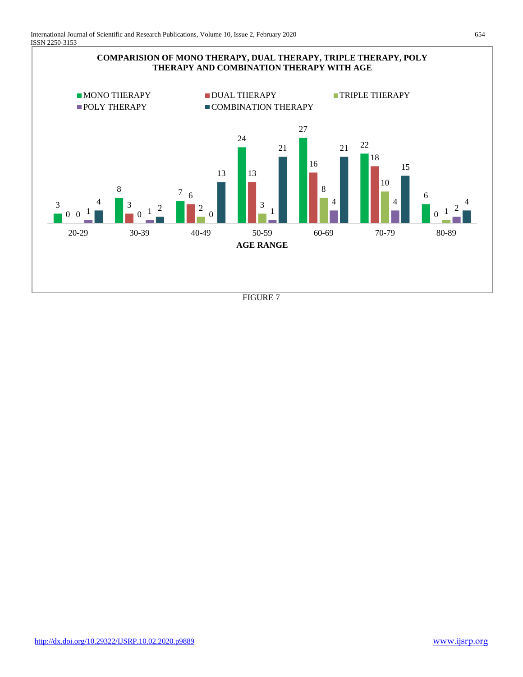



FIGURE 7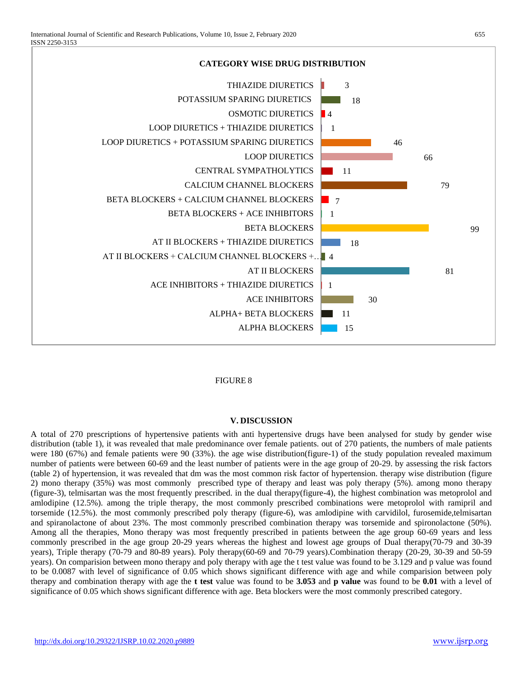

# FIGURE 8

#### **V. DISCUSSION**

A total of 270 prescriptions of hypertensive patients with anti hypertensive drugs have been analysed for study by gender wise distribution (table 1), it was revealed that male predominance over female patients. out of 270 patients, the numbers of male patients were 180 (67%) and female patients were 90 (33%). the age wise distribution(figure-1) of the study population revealed maximum number of patients were between 60-69 and the least number of patients were in the age group of 20-29. by assessing the risk factors (table 2) of hypertension, it was revealed that dm was the most common risk factor of hypertension. therapy wise distribution (figure 2) mono therapy (35%) was most commonly prescribed type of therapy and least was poly therapy (5%). among mono therapy (figure-3), telmisartan was the most frequently prescribed. in the dual therapy(figure-4), the highest combination was metoprolol and amlodipine (12.5%). among the triple therapy, the most commonly prescribed combinations were metoprolol with ramipril and torsemide (12.5%). the most commonly prescribed poly therapy (figure-6), was amlodipine with carvidilol, furosemide,telmisartan and spiranolactone of about 23%. The most commonly prescribed combination therapy was torsemide and spironolactone (50%). Among all the therapies, Mono therapy was most frequently prescribed in patients between the age group 60-69 years and less commonly prescribed in the age group 20-29 years whereas the highest and lowest age groups of Dual therapy(70-79 and 30-39 years), Triple therapy (70-79 and 80-89 years). Poly therapy(60-69 and 70-79 years).Combination therapy (20-29, 30-39 and 50-59 years). On comparision between mono therapy and poly therapy with age the t test value was found to be 3.129 and p value was found to be 0.0087 with level of significance of 0.05 which shows significant difference with age and while comparision between poly therapy and combination therapy with age the **t test** value was found to be **3.053** and **p value** was found to be **0.01** with a level of significance of 0.05 which shows significant difference with age. Beta blockers were the most commonly prescribed category.